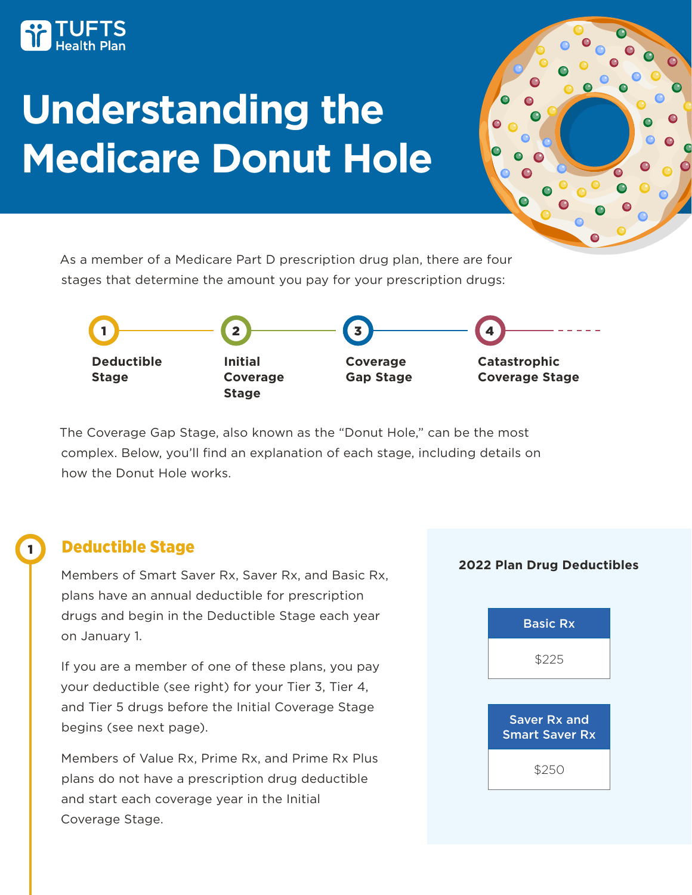# **Understanding the Medicare Donut Hole**



As a member of a Medicare Part D prescription drug plan, there are four stages that determine the amount you pay for your prescription drugs:



The Coverage Gap Stage, also known as the "Donut Hole," can be the most complex. Below, you'll find an explanation of each stage, including details on how the Donut Hole works.

# Deductible Stage

1

Members of Smart Saver Rx, Saver Rx, and Basic Rx, plans have an annual deductible for prescription drugs and begin in the Deductible Stage each year on January 1.

If you are a member of one of these plans, you pay your deductible (see right) for your Tier 3, Tier 4, and Tier 5 drugs before the Initial Coverage Stage begins (see next page).

Members of Value Rx, Prime Rx, and Prime Rx Plus plans do not have a prescription drug deductible and start each coverage year in the Initial Coverage Stage.